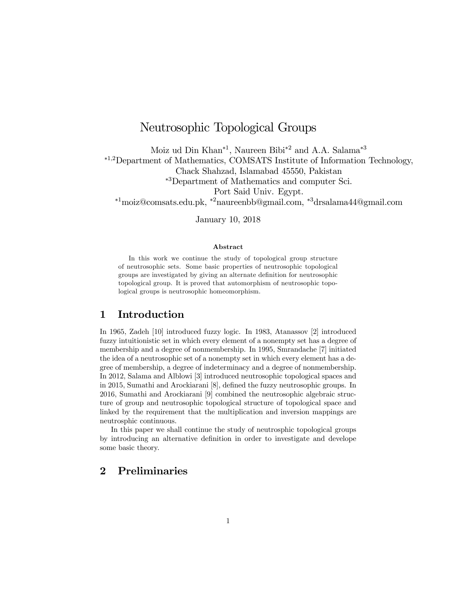# Neutrosophic Topological Groups

Moiz ud Din Khan<sup>\*1</sup>, Naureen Bibi<sup>\*2</sup> and A.A. Salama<sup>\*3</sup>

¤1<sup>2</sup>Department of Mathematics, COMSATS Institute of Information Technology,

Chack Shahzad, Islamabad 45550, Pakistan

¤<sup>3</sup>Department of Mathematics and computer Sci.

Port Said Univ. Egypt.

¤<sup>1</sup>moiz@comsats.edu.pk, ¤<sup>2</sup>naureenbb@gmail.com, ¤<sup>3</sup>drsalama44@gmail.com

January 10, 2018

### Abstract

In this work we continue the study of topological group structure of neutrosophic sets. Some basic properties of neutrosophic topological groups are investigated by giving an alternate definition for neutrosophic topological group. It is proved that automorphism of neutrosophic topological groups is neutrosophic homeomorphism.

## 1 Introduction

In 1965, Zadeh [10] introduced fuzzy logic. In 1983, Atanassov [2] introduced fuzzy intuitionistic set in which every element of a nonempty set has a degree of membership and a degree of nonmembership. In 1995, Smrandache [7] initiated the idea of a neutrosophic set of a nonempty set in which every element has a de gree of membership, a degree of indeterminacy and a degree of nonmembership. In 2012, Salama and Alblowi [3] introduced neutrosophic topological spaces and in 2015, Sumathi and Arockiarani [8], defined the fuzzy neutrosophic groups. In 2016, Sumathi and Arockiarani [9] combined the neutrosophic algebraic struc ture of group and neutrosophic topological structure of topological space and linked by the requirement that the multiplication and inversion mappings are neutrosphic continuous.

In this paper we shall continue the study of neutrosphic topological groups by introducing an alternative definition in order to investigate and develope some basic theory.

# 2 Preliminaries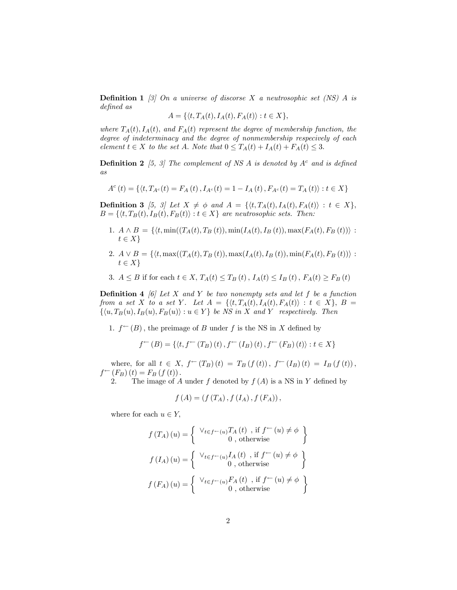**Definition 1** [3] On a universe of discorse X a neutrosophic set (NS) A is defined as

$$
A = \{ \langle t, T_A(t), I_A(t), F_A(t) \rangle : t \in X \},\
$$

where  $T_A(t)$ ,  $I_A(t)$ , and  $F_A(t)$  represent the degree of membership function, the degree of indeterminacy and the degree of nonmembership respecively of each element  $t \in X$  to the set A. Note that  $0 \leq T_A(t) + I_A(t) + F_A(t) \leq 3$ .

**Definition 2** [5, 3] The complement of NS A is denoted by  $A<sup>c</sup>$  and is defined as

$$
A^{c}\left(t\right)=\left\{ \left\langle t,T_{A^{c}}(t)=F_{A}\left(t\right),I_{A^{c}}(t)=1-I_{A}\left(t\right),F_{A^{c}}(t)=T_{A}\left(t\right)\right):t\in X\right\}
$$

**Definition 3** [5, 3] Let  $X \neq \emptyset$  and  $A = \{\langle t, T_A(t), I_A(t), F_A(t) \rangle : t \in X\}$ ,<br> $B = \{\langle t, T_B(t), I_B(t), F_B(t) \rangle : t \in X\}$  are neutrosophic sets. Then:

- 1.  $A \wedge B = \{ \langle t, \min((T_A(t), T_B(t)), \min(I_A(t), I_B(t)), \max(F_A(t), F_B(t)) \rangle : t \in X \}$
- 2.  $A \vee B = \{ \langle t, \max((T_A(t), T_B(t)), \max(I_A(t), I_B(t)), \min(F_A(t), F_B(t)) \rangle : t \in X \}$
- 3.  $A \leq B$  if for each  $t \in X$ ,  $T_A(t) \leq T_B(t)$ ,  $I_A(t) \leq I_B(t)$ ,  $F_A(t) \geq F_B(t)$

**Definition 4** [6] Let X and Y be two nonempty sets and let f be a function from a set X to a set Y. Let  $A = \{ \langle t, T_A(t), I_A(t), F_A(t) \rangle : t \in X \}, B =$  $\{(u, T_B(u), I_B(u), F_B(u)) : u \in Y\}$  be NS in X and Y respectively. Then

1.  $f^{\leftarrow}(B)$ , the preimage of B under f is the NS in X defined by

$$
f^{\leftarrow}(B) = \{ \langle t, f^{\leftarrow}(T_B)(t), f^{\leftarrow}(I_B)(t), f^{\leftarrow}(F_B)(t) \rangle : t \in X \}
$$

where, for all  $t \in X$ ,  $f^{\leftarrow}(T_B)(t) = T_B(f(t))$ ,  $f^{\leftarrow}(I_B)(t) = I_B(f(t))$ ,  $f^{\leftarrow}(F_B)(t) = F_B(f(t))$ .

2. The image of A under f denoted by  $f(A)$  is a NS in Y defined by

$$
f(A) = (f(T_A), f(I_A), f(F_A)),
$$

where for each  $u \in Y$ ,

$$
f(T_A)(u) = \begin{cases} \forall_{t \in f^{-}(u)} T_A(t) , \text{ if } f^{\leftarrow}(u) \neq \phi \\ 0 , \text{ otherwise} \end{cases}
$$

$$
f(I_A)(u) = \begin{cases} \forall_{t \in f^{-}(u)} I_A(t) , \text{ if } f^{\leftarrow}(u) \neq \phi \\ 0 , \text{ otherwise} \end{cases}
$$

$$
f(F_A)(u) = \begin{cases} \forall_{t \in f^{-}(u)} F_A(t) , \text{ if } f^{\leftarrow}(u) \neq \phi \\ 0 , \text{ otherwise} \end{cases}
$$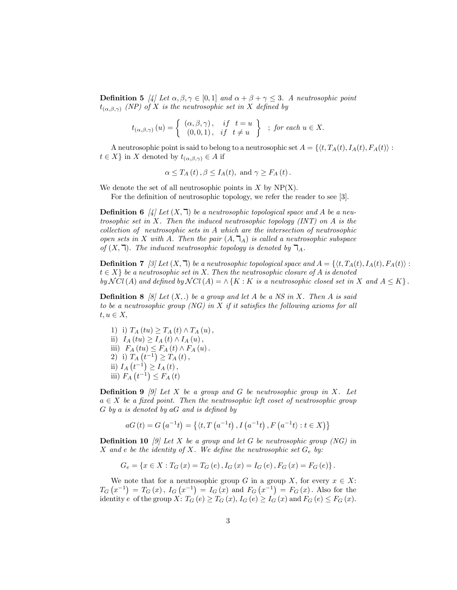**Definition 5** [4] Let  $\alpha, \beta, \gamma \in [0, 1]$  and  $\alpha + \beta + \gamma \leq 3$ . A neutrosophic point  $t_{(\alpha,\beta,\gamma)}$  (NP) of X is the neutrosophic set in X defined by

$$
t_{(\alpha,\beta,\gamma)}(u) = \left\{ \begin{array}{ll} (\alpha,\beta,\gamma) \,, & if \quad t = u \\ (0,0,1) \,, & if \quad t \neq u \end{array} \right\} \;\; ; \; \textit{for each } u \in X.
$$

A neutrosophic point is said to belong to a neutrosophic set  $A = \{ \langle t, T_A(t), I_A(t), F_A(t) \rangle : t \in X \}$  in X denoted by  $t_{(\alpha,\beta,\gamma)} \in A$  if

$$
\alpha \leq T_A(t), \beta \leq I_A(t)
$$
, and  $\gamma \geq F_A(t)$ .

We denote the set of all neutrosophic points in  $X$  by  $NP(X)$ .

For the definition of neutrosophic topology, we refer the reader to see [3].

**Definition 6** [4] Let  $(X, \mathbb{k})$  be a neutrosophic topological space and A be a neutrosophic set in X. Then the induced neutrosophic topology  $(INT)$  on A is the  $collection of$  neutrosophic sets in  $A$  which are the intersection of neutrosophic open sets in X with A. Then the pair  $(A, \mathcal{T}_A)$  is called a neutrosophic subspace of  $(X, \mathbb{k})$ . The induced neutrosophic topology is denoted by  $\mathbb{k}_A$ .

**Definition 7** [3] Let  $(X, \mathcal{T})$  be a neutrosophic topological space and  $A = \{ \langle t, T_A(t), I_A(t), F_A(t) \rangle : t \in X \}$  be a neutrosophic set in X. Then the neutrosophic closure of A is denoted by  $NCl(A)$  and defined by  $NCl(A) = \wedge \{K : K \text{ is a neutrosophic closed set in } X \text{ and } A \leq K\}$ .

**Definition 8** [8] Let  $(X,.)$  be a group and let A be a NS in X. Then A is said to be a neutrosophic group (NG) in  $X$  if it satisfies the following axioms for all  $t, u \in X$ 

1) i)  $T_A (tu) \ge T_A (t) \wedge T_A (u)$ , ii)  $I_A(tu) \geq I_A(t) \wedge I_A(u)$ , iii)  $F_A(tu) \leq F_A(t) \wedge F_A(u)$ .<br>
2) i)  $T_A(t^{-1}) \geq T_A(t)$ , ii)  $I_A(t^{-1}) \geq I_A(t)$ , iii)  $F_A(t^{-1}) \leq F_A(t)$ 

**Definition 9** [9] Let X be a group and G be neutrosophic group in X. Let  $a \in X$  be a fixed point. Then the neutrosophic left coset of neutrosophic group  $G$  by a is denoted by  $aG$  and is defined by

 $aG(t) = G(a^{-1}t) = \{(t, T(a^{-1}t), I(a^{-1}t), F(a^{-1}t) : t \in X)\}\$ 

**Definition 10** [9] Let X be a group and let G be neutrosophic group (NG) in X and e be the identity of X. We define the neutrosophic set  $G_e$  by:

$$
G_e = \{ x \in X : T_G(x) = T_G(e), I_G(x) = I_G(e), F_G(x) = F_G(e) \}.
$$

We note that for a neutrosophic group G in a group X, for every  $x \in X$ :<br>  $T_G(x^{-1}) = T_G(x)$ ,  $I_G(x^{-1}) = I_G(x)$  and  $F_G(x^{-1}) = F_G(x)$ . Also for the identity e of the group X:  $T_G(e) \geq T_G(x)$ ,  $I_G(e) \geq I_G(x)$  and  $F_G(e) \leq F_G(x)$ .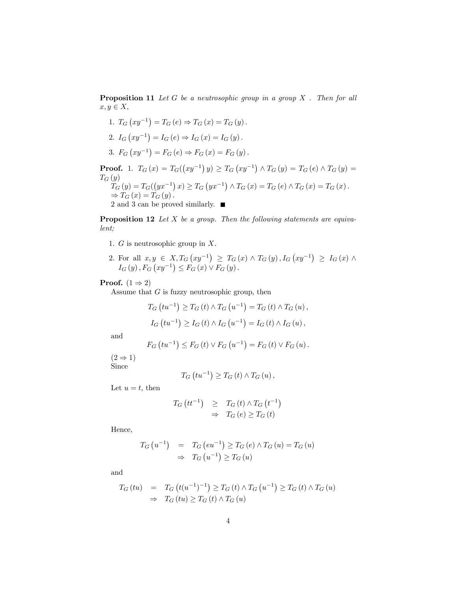**Proposition 11** Let  $G$  be a neutrosophic group in a group  $X$ . Then for all  $x, y \in X$ 

1. 
$$
T_G (xy^{-1}) = T_G (e) \Rightarrow T_G (x) = T_G (y)
$$
.  
\n2.  $I_G (xy^{-1}) = I_G (e) \Rightarrow I_G (x) = I_G (y)$ .  
\n3.  $F_G (xy^{-1}) = F_G (e) \Rightarrow F_G (x) = F_G (y)$ .

**Proof.** 1.  $T_G(x) = T_G((xy^{-1})y) \ge T_G(xy^{-1}) \wedge T_G(y) = T_G(e) \wedge T_G(y) =$  $T_G(y)$  $T_G(y) = T_G((yx^{-1}) x) \ge T_G(yx^{-1}) \wedge T_G(x) = T_G(e) \wedge T_G(x) = T_G(x)$ .  $\Rightarrow T_G(x) = T_G(y)$ .<br>2 and 3 can be proved similarly.

**Proposition 12** Let  $X$  be a group. Then the following statements are equivalent;

- 1.  $G$  is neutrosophic group in  $X$ .
- 2. For all  $x, y \in X, T_G (xy^{-1}) \geq T_G (x) \wedge T_G (y), I_G (xy^{-1}) \geq I_G (x) \wedge$  $I_G(y)$ ,  $F_G (xy^{-1}) \leq F_G (x) \vee F_G (y)$ .

### **Proof.**  $(1 \Rightarrow 2)$

Assume that  $G$  is fuzzy neutrosophic group, then

$$
T_G(tu^{-1}) \ge T_G(t) \wedge T_G(u^{-1}) = T_G(t) \wedge T_G(u),
$$
  
\n
$$
I_G(tu^{-1}) \ge I_G(t) \wedge I_G(u^{-1}) = I_G(t) \wedge I_G(u),
$$

and

$$
F_G (tu^{-1}) \le F_G (t) \vee F_G (u^{-1}) = F_G (t) \vee F_G (u)
$$
.

 $(2 \Rightarrow 1)$ Since

$$
T_G\left(tu^{-1}\right) \geq T_G\left(t\right) \wedge T_G\left(u\right),\,
$$

Let  $u = t$ , then

$$
T_G(t t^{-1}) \geq T_G(t) \wedge T_G(t^{-1})
$$
  

$$
\Rightarrow T_G(e) \geq T_G(t)
$$

Hence,

$$
T_G(u^{-1}) = T_G(eu^{-1}) \ge T_G(e) \wedge T_G(u) = T_G(u)
$$
  
\n
$$
\Rightarrow T_G(u^{-1}) \ge T_G(u)
$$

and

$$
T_G (tu) = T_G (t(u^{-1})^{-1}) \ge T_G (t) \wedge T_G (u^{-1}) \ge T_G (t) \wedge T_G (u)
$$
  
\n
$$
\Rightarrow T_G (tu) \ge T_G (t) \wedge T_G (u)
$$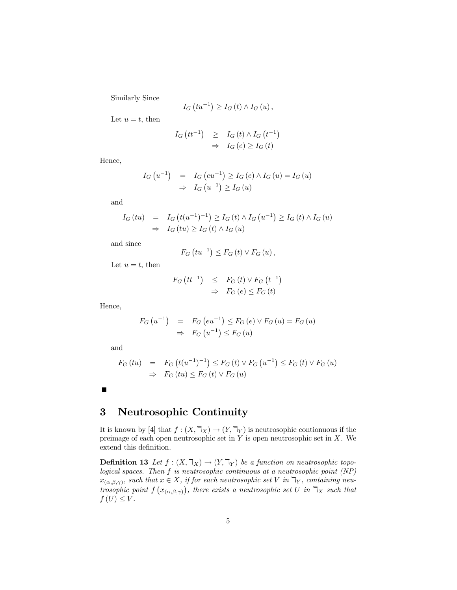Similarly Since

$$
I_{G}\left( tu^{-1}\right) \geq I_{G}\left( t\right) \wedge I_{G}\left( u\right) ,
$$

Let  $u = t$ , then

$$
I_G(t t^{-1}) \geq I_G(t) \wedge I_G(t^{-1})
$$
  

$$
\Rightarrow I_G(e) \geq I_G(t)
$$

Hence,

$$
I_G(u^{-1}) = I_G(eu^{-1}) \ge I_G(e) \wedge I_G(u) = I_G(u)
$$
  
\n
$$
\Rightarrow I_G(u^{-1}) \ge I_G(u)
$$

and

$$
I_G\left(tu\right) = I_G\left(t(u^{-1})^{-1}\right) \ge I_G\left(t\right) \wedge I_G\left(u^{-1}\right) \ge I_G\left(t\right) \wedge I_G\left(u\right)
$$
  
\n
$$
\Rightarrow I_G\left(tu\right) \ge I_G\left(t\right) \wedge I_G\left(u\right)
$$

and since

$$
F_G\left(tu^{-1}\right) \leq F_G\left(t\right) \vee F_G\left(u\right),
$$

Let  $u = t$ , then

$$
F_G(t t^{-1}) \leq F_G(t) \vee F_G(t^{-1})
$$
  

$$
\Rightarrow F_G(e) \leq F_G(t)
$$

Hence,

$$
F_G(u^{-1}) = F_G(eu^{-1}) \le F_G(e) \lor F_G(u) = F_G(u)
$$
  
\n
$$
\Rightarrow F_G(u^{-1}) \le F_G(u)
$$

and

$$
F_G (tu) = F_G (t(u^{-1})^{-1}) \le F_G (t) \vee F_G (u^{-1}) \le F_G (t) \vee F_G (u)
$$
  
\n
$$
\Rightarrow F_G (tu) \le F_G (t) \vee F_G (u)
$$

# 3 Neutrosophic Continuity

It is known by [4] that  $f : (X, \mathbb{k}_X) \to (Y, \mathbb{k}_Y)$  is neutrosophic contionuous if the preimage of each open neutrosophic set in  $Y$  is open neutrosophic set in  $X$ . We extend this definition.

**Definition 13** Let  $f : (X, \mathbb{k}_X) \to (Y, \mathbb{k}_Y)$  be a function on neutrosophic topological spaces. Then  $f$  is neutrosophic continuous at a neutrosophic point  $(NP)$  $x_{(\alpha,\beta,\gamma)}$ , such that  $x \in X$ , if for each neutrosophic set V in  $\mathbb{I}_Y$ , containing neutrosophic point  $f(x_{(\alpha,\beta,\gamma)})$ , there exists a neutrosophic set U in  $\mathcal{T}_X$  such that  $f(U) \leq V$ .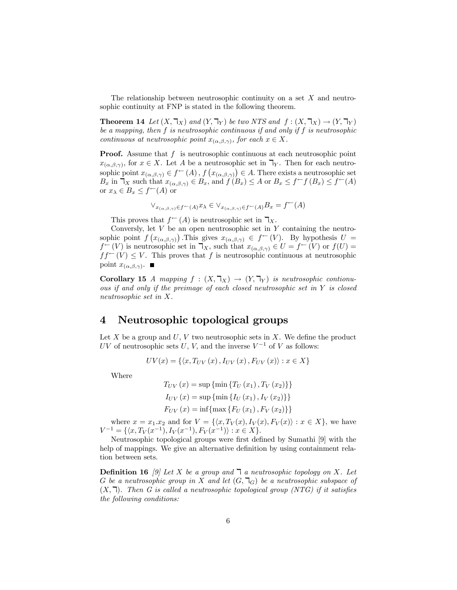The relationship between neutrosophic continuity on a set  $X$  and neutrosophic continuity at FNP is stated in the following theorem.

**Theorem 14** Let  $(X, \mathbb{k}_X)$  and  $(Y, \mathbb{k}_Y)$  be two NTS and  $f : (X, \mathbb{k}_X) \to (Y, \mathbb{k}_Y)$ be a mapping, then  $f$  is neutrosophic continuous if and only if  $f$  is neutrosophic continuous at neutrosophic point  $x_{(\alpha,\beta,\gamma)}$ , for each  $x \in X$ .

**Proof.** Assume that  $f$  is neutrosophic continuous at each neutrosophic point  $x_{(\alpha,\beta,\gamma)}$ , for  $x \in X$ . Let A be a neutrosophic set in  $\mathbb{I}_Y$ . Then for each neutro $x_{(\alpha,\beta,\gamma)}$ , for  $x \in X$ . Let A be a neutrosophic set in  $\mathbb{k}_Y$ . Then for each neutro-<br>sophic point  $x_{(\alpha,\beta,\gamma)} \in f^{\leftarrow}(A)$ ,  $f(x_{(\alpha,\beta,\gamma)}) \in A$ . There exists a neutrosophic set  $B_x$  in  $\mathcal{T}_X$  such that  $x_{(\alpha,\beta,\gamma)} \in B_x$ , and  $f(B_x) \leq A$  or  $B_x \leq f^{\leftarrow} f(B_x) \leq f^{\leftarrow}(A)$ or  $x_{\lambda} \in B_x \leq f^{\leftarrow}(A)$  or

$$
\vee_{x_{(\alpha,\beta,\gamma)}\in f^\leftarrow(A)} x_\lambda\in \vee_{x_{(\alpha,\beta,\gamma)}\in f^\leftarrow(A)} B_x=f^\leftarrow(A)
$$

This proves that  $f^{\leftarrow}(A)$  is neutrosophic set in  $\mathbb{Z}_X$ .<br>Conversly, let V be an open neutrosophic set in Y containing the neutrosophic point  $f(x_{(\alpha,\beta,\gamma)})$ . This gives  $x_{(\alpha,\beta,\gamma)} \in f^{\leftarrow}(V)$ . By hypothesis  $U =$  $f^{\leftarrow}(V)$  is neutrosophic set in  $\mathbb{I}_X$ , such that  $x_{(\alpha,\beta,\gamma)} \in U = f^{\leftarrow}(V)$  or  $f(U) =$  $ff^{\leftarrow}(V) \leq V$ . This proves that f is neutrosophic continuous at neutrosophic point  $x_{(\alpha,\beta,\gamma)}$ .

**Corollary 15** A mapping  $f : (X, \mathcal{T}_X) \to (Y, \mathcal{T}_Y)$  is neutrosophic contionu-<br>ous if and only if the preimage of each closed neutrosophic set in Y is closed neutrosophic set in  $X$ .

## 4 Neutrosophic topological groups

Let  $X$  be a group and  $U, V$  two neutrosophic sets in  $X$ . We define the product UV of neutrosophic sets U, V, and the inverse  $V^{-1}$  of V as follows:

$$
UV(x) = \{ \langle x, T_{UV}(x), I_{UV}(x), F_{UV}(x) \rangle : x \in X \}
$$

Where

$$
T_{UV}(x) = \sup \{\min \{T_U(x_1), T_V(x_2)\}\}\
$$

$$
I_{UV}(x) = \sup \{\min \{I_U(x_1), I_V(x_2)\}\}\
$$

$$
F_{UV}(x) = \inf \{\max \{F_U(x_1), F_V(x_2)\}\}\
$$

where  $x = x_1.x_2$  and for  $V = \{ \langle x, T_V(x), I_V(x), F_V(x) \rangle : x \in X \}$ , we have  $V^{-1} = \{ \langle x, T_V(x^{-1}), I_V(x^{-1}), F_V(x^{-1}) \rangle : x \in$ 

Neutrosophic topological groups were first defined by Sumathi [9] with the help of mappings. We give an alternative definition by using containment relation between sets.

**Definition 16** [9] Let X be a group and  $\overline{A}$  a neutrosophic topology on X. Let G be a neutrosophic group in X and let  $(G, \mathcal{L})$  be a neutrosophic subspace of  $(X, \mathcal{A})$ . Then G is called a neutrosophic topological group (NTG) if it satisfies the following conditions: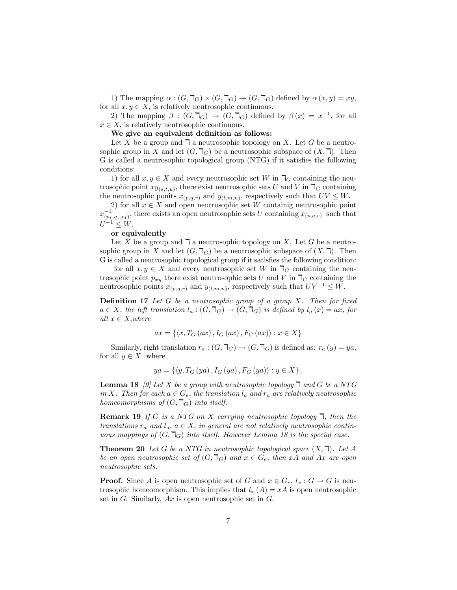1) The mapping  $\alpha$  :  $(G, \mathbb{I}_G) \times (G, \mathbb{I}_G) \to (G, \mathbb{I}_G)$  defined by  $\alpha(x, y) = xy$ , for all  $x, y \in X$ , is relatively neutrosophic continuous.<br>2) The mapping  $\beta$  :  $(G, \mathbb{I}_G) \to (G, \mathbb{I}_G)$  defined by  $\beta(x) = x^{-1}$ , for all

 $x \in X$ , is relatively neutrosophic continuous.<br>We give an equivalent definition as follows:

Let X be a group and  $\exists$  a neutrosophic topology on X. Let G be a neutrosophic group in X and let  $(G, \mathcal{L})$  be a neutrosophic subspace of  $(X, \mathcal{L})$ . Then G is called a neutrosophic topological group (NTG) if it satisfies the following conditions:

1) for all  $x, y \in X$  and every neutrosophic set  $W$  in  $\mathcal{T}_G$  containing the neutrosophic point  $xy_{(s,t,u)}$ , there exist neutrosophic sets  $U$  and  $V$  in  $\mathcal{T}_G$  containing

the neutrosophic ponits  $x_{(p,q,r)}$  and  $y_{(l,m,n)}$ , respectively such that  $UV \leq W$ .<br>
2) for all  $x \in X$  and open neutrosophic set  $W$  containig neutrosophic point  $x_{(p_1,q_1,r_1)}^{-1}$ , there exists an open neutrosophic sets U containing  $x_{(p,q,r)}$  such that  $U^{-1} \leq W. \nonumber$  or equivalently

Let X be a group and  $\overline{\mathsf{I}}$  a neutrosophic topology on X. Let G be a neutrosophic group in X and let  $(G, \mathcal{L})$  be a neutrosophic subspace of  $(X, \mathcal{L})$ . Then G is called a neutrosophic topological group if it satisfies the following condition:

for all  $x, y \in X$  and every neutrosophic set  $W$  in  $\mathcal{T}_G$  containing the neutrosophic point  $p_{xy}$  there exist neutrosophic sets  $U$  and  $V$  in  $\mathcal{T}_G$  containing the neutrosophic points  $x_{(p,q,r)}$  and  $y_{(l,m,n)}$ , respectively such that  $UV^{-1} \leq W$ .

**Definition 17** Let  $G$  be a neutrosophic group of a group  $X$ . Then for fixed  $a \in X$ , the left translation  $l_a : (G, \mathbb{k}_G) \to (G, \mathbb{k}_G)$  is defined by  $l_a(x) = ax$ , for all  $x \in X$ , where

$$
ax = \{ \langle x, T_G(ax), I_G(ax), F_G(ax) \rangle : x \in X \}
$$

Similarly, right translation  $r_a : (G, \mathbb{k}_G) \to (G, \mathbb{k}_G)$  is defined as:  $r_a(y) = ya$ , for all  $y \in X$  where

$$
ya = \{ \langle y, T_G(ya), I_G(ya), F_G(ya) \rangle : y \in X \}.
$$

**Lemma 18** [9] Let X be a group with neutrosophic topology  $\exists$  and G be a NTG in X. Then for each  $a \in G_e$ , the translation  $l_a$  and  $r_a$  are relatively neutrosophic homeomorphisms of  $(G, \mathbb{F}_G)$  into itself.

**Remark 19** If G is a NTG on X carrying neutrosophic topology  $\mathbb{I}$ , then the translations  $r_a$  and  $l_a$ ,  $a \in X$ , in general are not relatively neutrosophic contin-<br>uous mappings of  $(G, \mathcal{L}_G)$  into itself. However Lemma 18 is the special case.

**Theorem 20** Let G be a NTG in neutrosophic topological space  $(X, \mathbb{k})$ . Let A be an open neutrosophic set of  $(G, \mathbb{k}_G)$  and  $x \in G_e$ , then  $xA$  and  $Ax$  are open neutrosophic sets.

**Proof.** Since A is open neutrosophic set of G and  $x \in G_e$ ,  $l_x : G \to G$  is neutrosophic homeomorphism. This implies that  $l_x(A) = xA$  is open neutrosophic set in  $G$ . Similarly,  $Ax$  is open neutrosophic set in  $G$ .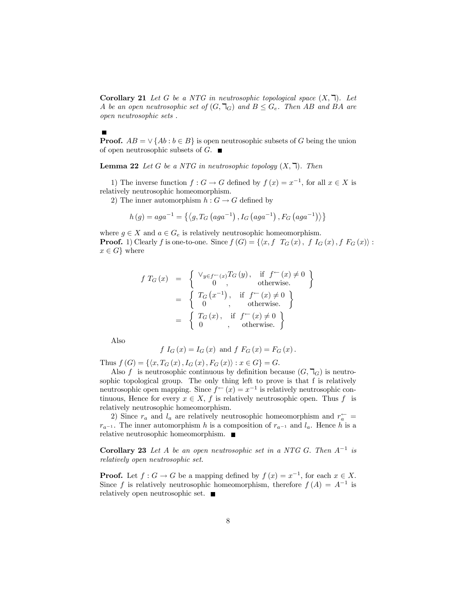**Corollary 21** Let G be a NTG in neutrosophic topological space  $(X, \mathbb{k})$ . Let A be an open neutrosophic set of  $(G, \mathbb{k}_G)$  and  $B \leq G_e$ . Then AB and BA are open neutrosophic sets .

#### $\blacksquare$

**Proof.**  $AB = \vee \{Ab : b \in B\}$  is open neutrosophic subsets of G being the union of open neutrosophic subsets of  $G$ .

**Lemma 22** Let G be a NTG in neutrosophic topology  $(X, \mathbb{k})$ . Then

1) The inverse function  $f: G \to G$  defined by  $f(x) = x^{-1}$ , for all  $x \in X$  is relatively neutrosophic homeomorphism.

2) The inner automorphism  $h : G \to G$  defined by

$$
h(g) = aga^{-1} = \left\{ \left\langle g, T_G \left( aga^{-1} \right), I_G \left( aga^{-1} \right), F_G \left( aga^{-1} \right) \right\rangle \right\}
$$

where  $g \in X$  and  $a \in G_e$  is relatively neutrosophic homeomorphism.<br>**Proof.** 1) Clearly  $f$  is one-to-one. Since  $f(G) = \{\langle x, f \ T_G(x), f \ I_G(x), f \ F_G(x) \rangle : x \in G\}$  where

$$
f T_G(x) = \begin{cases} \n\vee_{y \in f^{\leftarrow}(x)} T_G(y), & \text{if } f^{\leftarrow}(x) \neq 0 \\ \n0, & \text{otherwise.} \n\end{cases}
$$
  
\n
$$
= \begin{cases} \nT_G(x^{-1}), & \text{if } f^{\leftarrow}(x) \neq 0 \\ \n0, & \text{otherwise.} \n\end{cases}
$$
  
\n
$$
= \begin{cases} \nT_G(x), & \text{if } f^{\leftarrow}(x) \neq 0 \\ \n0, & \text{otherwise.} \n\end{cases}
$$

Also

$$
f I_G(x) = I_G(x)
$$
 and  $f F_G(x) = F_G(x)$ .

Thus  $f(G) = \{ \langle x, T_G(x), I_G(x), F_G(x) \rangle : x \in G \} = G$ .<br>Also f is neutrosophic continuous by definition because  $(G, \mathbb{k}_G)$  is neutrosophic topological group. The only thing left to prove is that f is relatively neutrosophic open mapping. Since  $f^{\leftarrow}(x) = x^{-1}$  is relatively neutrosophic continuous, Hence for every  $x \in X$ , f is relatively neutrosophic open. Thus f is relatively neutrosophic homeomorphism.

2) Since  $r_a$  and  $l_a$  are relatively neutrosophic homeomorphism and  $r_a^{\leftarrow}$  =  $r_{a^{-1}}$ . The inner automorphism h is a composition of  $r_{a^{-1}}$  and  $l_a$ . Hence h is a relative neutrosophic homeomorphism.

**Corollary 23** Let A be an open neutrosophic set in a NTG G. Then  $A^{-1}$  is relatively open neutrosophic set.

**Proof.** Let  $f : G \to G$  be a mapping defined by  $f(x) = x^{-1}$ , for each  $x \in X$ . **Proof.** Let  $f : G \to G$  be a mapping defined by  $f(x) = x^{-1}$ , for each  $x \in X$ .<br>Since f is relatively neutrosophic homeomorphism, therefore  $f(A) = A^{-1}$  is relatively open neutrosophic set.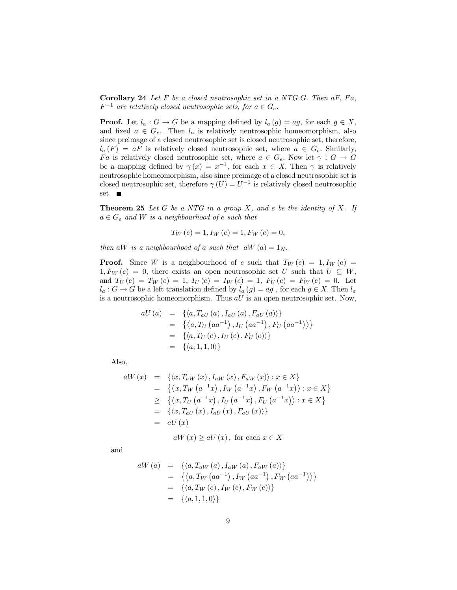**Corollary 24** Let  $F$  be a closed neutrosophic set in a NTG  $G$ . Then  $aF$ ,  $Fa$ ,  $F^{-1}$  are relatively closed neutrosophic sets, for  $a \in G_e$ .

**Proof.** Let  $l_a : G \to G$  be a mapping defined by  $l_a(g) = ag$ , for each  $g \in X$ , and fixed  $a \in G_e$ . Then  $l_a$  is relatively neutrosophic homeomorphism, also since preimage of a closed neutrosophic set is closed neutrosophic set, therefore,  $l_a(F) = aF$  is relatively closed neutrosophic set, where  $a \in G_e$ . Similarly,  $Fa$  is relatively closed neutrosophic set, where  $a \in G_e$ . Now let  $\gamma : G \to G$ be a mapping defined by  $\gamma(x) = x^{-1}$ , for each  $x \in X$ . Then  $\gamma$  is relatively neutrosophic homeomorphism, also since preimage of a closed neutrosophic set is closed neutrosophic set, therefore  $\gamma(U) = U^{-1}$  is relatively closed neutrosophic set. ■

**Theorem 25** Let  $G$  be a NT $G$  in a group  $X$ , and  $e$  be the identity of  $X$ . If  $a \in G_e$  and W is a neighbourhood of e such that

$$
T_W(e) = 1, I_W(e) = 1, F_W(e) = 0,
$$

then aW is a neighbourhood of a such that  $aW(a) = 1_N$ .

**Proof.** Since W is a neighbourhood of e such that  $T_W(e) = 1, I_W(e) =$  $1, F_W(e) = 0$ , there exists an open neutrosophic set U such that  $U \subseteq W$ , and  $T_U(e) = T_W(e) = 1$ ,  $I_U(e) = I_W(e) = 1$ ,  $F_U(e) = F_W(e) = 0$ . Let  $l_a: G \to G$  be a left translation defined by  $l_a(g) = ag$ , for each  $g \in X$ . Then  $l_a$ is a neutrosophic homeomorphism. Thus  $aU$  is an open neutrosophic set. Now,

$$
aU(a) = \{ \langle a, T_{aU}(a), I_{aU}(a), F_{aU}(a) \rangle \}
$$
  
=  $\{ \langle a, T_U (aa^{-1}), I_U (aa^{-1}), F_U (aa^{-1}) \rangle \}$   
=  $\{ \langle a, T_U (e), I_U (e), F_U (e) \rangle \}$   
=  $\{ \langle a, 1, 1, 0 \rangle \}$ 

Also,

$$
aW(x) = \{ \langle x, T_{aW}(x), I_{aW}(x), F_{aW}(x) \rangle : x \in X \}
$$
  
\n
$$
= \{ \langle x, T_W(a^{-1}x), I_W(a^{-1}x), F_W(a^{-1}x) \rangle : x \in X \}
$$
  
\n
$$
\geq \{ \langle x, T_U(a^{-1}x), I_U(a^{-1}x), F_U(a^{-1}x) \rangle : x \in X \}
$$
  
\n
$$
= \{ \langle x, T_{aU}(x), I_{aU}(x), F_{aU}(x) \rangle \}
$$
  
\n
$$
= aU(x)
$$

 $aW(x) \ge aU(x)$ , for each  $x \in X$ 

and

$$
aW(a) = \{ \langle a, T_{aW}(a), I_{aW}(a), F_{aW}(a) \rangle \}
$$
  
=  $\{ \langle a, T_W(aa^{-1}), I_W(aa^{-1}), F_W(aa^{-1}) \rangle \}$   
=  $\{ \langle a, T_W(e), I_W(e), F_W(e) \rangle \}$   
=  $\{ \langle a, 1, 1, 0 \rangle \}$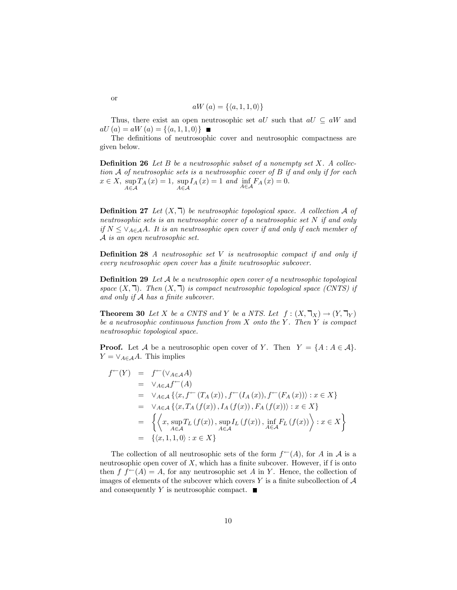$$
aW\left( a\right) =\left\{ \left\langle a,1,1,0\right\rangle \right\}
$$

Thus, there exist an open neutrosophic set all such that  $aU \subseteq aW$  and  $aU(a) = aW(a) = {\langle a, 1, 1, 0 \rangle}$ 

The definitions of neutrosophic cover and neutrosophic compactness are given below.

**Definition 26** Let  $B$  be a neutrosophic subset of a nonempty set  $X$ . A collection  $A$  of neutrosophic sets is a neutrosophic cover of  $B$  if and only if for each  $x \in X$ ,  $\sup_{A \in \mathcal{A}} T_A(x) = 1$ ,  $T_A(x) = 1, \ \sup I_A(x) = 1$  $A\in\mathcal{A}$  $I_A(x) = 1$  and  $\inf_{A \in \mathcal{A}} F_A(x) = 0.$ 

**Definition 27** Let  $(X, \mathbb{k})$  be neutrosophic topological space. A collection A of neutrosophic sets is an neutrosophic cover of a neutrosophic set  $N$  if and only if  $N \leq \vee_{A \in \mathcal{A}} A$ . It is an neutrosophic open cover if and only if each member of A is an open neutrosophic set.

**Definition 28** A neutrosophic set  $V$  is neutrosophic compact if and only if every neutrosophic open cover has a finite neutrosophic subcover.

**Definition 29** Let  $A$  be a neutrosophic open cover of a neutrosophic topological space  $(X, \mathbb{k})$ . Then  $(X, \mathbb{k})$  is compact neutrosophic topological space (CNTS) if and only if  $A$  has a finite subcover.

**Theorem 30** Let X be a CNTS and Y be a NTS. Let  $f : (X, \mathbb{k}) \to (Y, \mathbb{k})$ be a neutrosophic continuous function from  $X$  onto the  $Y$ . Then  $Y$  is compact neutrosophic topological space.

**Proof.** Let  $A$  be a neutrosophic open cover of  $Y$ . Then  $Y = \{A : A \in A\}$ .<br>  $Y = \vee_{A \in A} A$ . This implies

$$
f^{\leftarrow}(Y) = f^{\leftarrow}(\vee_{A \in \mathcal{A}} A)
$$
  
\n=  $\vee_{A \in \mathcal{A}} f^{\leftarrow}(A)$   
\n=  $\vee_{A \in \mathcal{A}} \{ \langle x, f^{\leftarrow}(T_A(x)), f^{\leftarrow}(I_A(x)), f^{\leftarrow}(F_A(x)) \rangle : x \in X \} \}$   
\n=  $\vee_{A \in \mathcal{A}} \{ \langle x, T_A(f(x)), I_A(f(x)), F_A(f(x)) \rangle : x \in X \} \$   
\n=  $\left\{ \left\langle x, \sup_{A \in \mathcal{A}} T_L(f(x)), \sup_{A \in \mathcal{A}} I_L(f(x)), \inf_{A \in \mathcal{A}} F_L(f(x)) \right\rangle : x \in X \right\}$   
\n=  $\{\langle x, 1, 1, 0 \rangle : x \in X \}$ 

The collection of all neutrosophic sets of the form  $f^{\leftarrow}(A)$ , for A in A is a neutrosophic open cover of  $X$ , which has a finite subcover. However, if f is onto then  $f f^{\leftarrow}(A) = A$ , for any neutrosophic set A in Y. Hence, the collection of images of elements of the subcover which covers Y is a finite subcollection of  $A$ and consequently Y is neutrosophic compact.  $\blacksquare$ 

or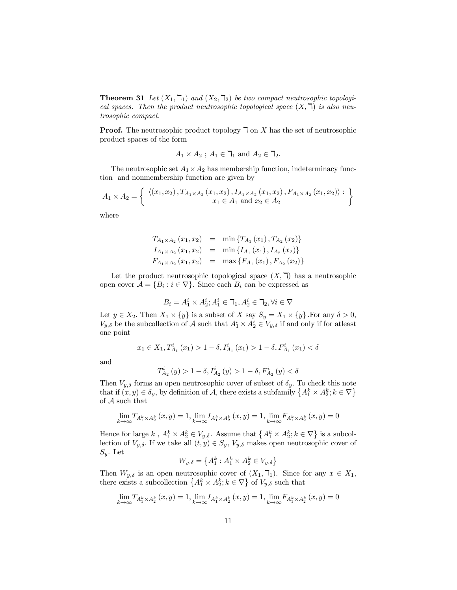**Theorem 31** Let  $(X_1, \mathbb{k}_1)$  and  $(X_2, \mathbb{k}_2)$  be two compact neutrosophic topological spaces. Then the product neutrosophic topological space  $(X, \mathbb{k})$  is also neutrosophic compact.

**Proof.** The neutrosophic product topology  $\exists$  on X has the set of neutrosophic product spaces of the form

$$
A_1 \times A_2 \text{ ; } A_1 \in \mathbb{k}_1 \text{ and } A_2 \in \mathbb{k}_2.
$$

The neutrosophic set  $A_1 \times A_2$  has membership function, indeterminacy function and nonmembership function are given by

$$
A_1 \times A_2 = \left\{ \begin{array}{c} \langle (x_1, x_2), T_{A_1 \times A_2} (x_1, x_2), I_{A_1 \times A_2} (x_1, x_2), F_{A_1 \times A_2} (x_1, x_2) \rangle : \\ x_1 \in A_1 \text{ and } x_2 \in A_2 \end{array} \right\}
$$

where

$$
T_{A_1 \times A_2} (x_1, x_2) = \min \{ T_{A_1} (x_1), T_{A_2} (x_2) \}
$$
  
\n
$$
I_{A_1 \times A_2} (x_1, x_2) = \min \{ I_{A_1} (x_1), I_{A_2} (x_2) \}
$$
  
\n
$$
F_{A_1 \times A_2} (x_1, x_2) = \max \{ F_{A_1} (x_1), F_{A_2} (x_2) \}
$$

Let the product neutrosophic topological space  $(X, \mathbb{k})$  has a neutrosophic open cover  $A = \{B_i : i \in \nabla\}$ . Since each  $B_i$  can be expressed as

$$
B_i=A^i_1\times A^i_2; A^i_1\in \mathbb{k}_1, A^i_2\in \mathbb{k}_2, \forall i\in \nabla
$$

Let  $y \in X_2$ . Then  $X_1 \times \{y\}$  is a subset of  $X$  say  $S_y = X_1 \times \{y\}$ . For any  $\delta > 0$ ,  $V_{y,\delta}$  be the subcollection of  $\mathcal A$  such that  $A_1^i \times A_2^i \in V_{y,\delta}$  if and only if for atleast one point

$$
x_1 \in X_1, T_{A_1}^i(x_1) > 1 - \delta, I_{A_1}^i(x_1) > 1 - \delta, F_{A_1}^i(x_1) < \delta
$$

and

$$
T_{A_2}^i\left(y\right) > 1-\delta, I_{A_2}^i\left(y\right) > 1-\delta, F_{A_2}^i\left(y\right) < \delta
$$

Then  $V_{y,\delta}$  forms an open neutrosophic cover of subset of  $\delta_y$ . To check this note that if  $(x, y) \in \delta_y$ , by definition of A, there exists a subfamily  $\{A_1^k \times A_2^k; k \in \nabla\}$ of  $A$  such that

$$
\lim_{k \to \infty} T_{A_1^k \times A_2^k} \left( x, y \right) = 1, \lim_{k \to \infty} I_{A_1^k \times A_2^k} \left( x, y \right) = 1, \lim_{k \to \infty} F_{A_1^k \times A_2^k} \left( x, y \right) = 0
$$

Hence for large  $k$ ,  $A_1^k \times A_2^k \in V_{y,\delta}$ . Assume that  $\{A_1^k \times A_2^k; k \in \nabla\}$  is a subcollection of  $V_{y,\delta}$ . If we take all  $(t, y) \in S_y$ ,  $V_{y,\delta}$  makes open neutrosophic cover of  $S_y$ . Let

$$
W_{y,\delta} = \left\{ A_1^k : A_1^k \times A_2^k \in V_{y,\delta} \right\}
$$

Then  $W_{y,\delta}$  is an open neutrosophic cover of  $(X_1, \mathcal{F}_1)$ . Since for any  $x \in X_1$ ,  $\{A_1^k\times A_2^k; k\in \nabla\}$  of  $V_{y,\delta}$  such that

$$
\lim_{k \to \infty} T_{A_1^k \times A_2^k} \left( x, y \right) = 1, \lim_{k \to \infty} I_{A_1^k \times A_2^k} \left( x, y \right) = 1, \lim_{k \to \infty} F_{A_1^k \times A_2^k} \left( x, y \right) = 0
$$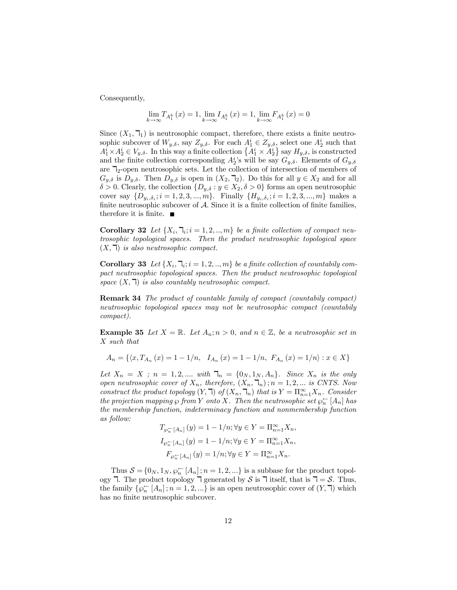Consequently,

$$
\lim_{k \to \infty} T_{A_1^k}(x) = 1, \lim_{k \to \infty} I_{A_1^k}(x) = 1, \lim_{k \to \infty} F_{A_1^k}(x) = 0
$$

Since  $(X_1, \mathcal{F}_1)$  is neutrosophic compact, therefore, there exists a finite neutrosophic subcover of  $W_{y,\delta}$ , say  $Z_{y,\delta}$ . For each  $A_1^i \in Z_{y,\delta}$ , select one  $A_2^i$  such that  $A_1^i \times A_2^i \in V_{y,\delta}$ . In this way a finite collection  $\{A_1^i \times A_2^i\}$  say  $H_{y,\delta}$ , is constructed and the finite collection corresponding  $A_2^i$ 's will be say  $G_{y,\delta}$ . Elements of  $G_{y,\delta}$ are  $\mathbb{Z}_2$ -open neutrosophic sets. Let the collection of intersection of members of  $G_{y,\delta}$  is  $D_{y,\delta}$ . Then  $D_{y,\delta}$  is open in  $(X_2, \mathbb{k}_2)$ . Do this for all  $y \in X_2$  and for all  $\delta > 0$ . Clearly, the collection  $\{D_{y,\delta} : y \in X_2, \delta > 0\}$  forms an open neutrosophic cover say  $\{D_{y_i, \delta_i}; i = 1, 2, 3, ..., m\}$ . Finally  $\{H_{y_i, \delta_i}; i = 1, 2, 3, ..., m\}$  makes a finite neutrosophic subcover of  $A$ . Since it is a finite collection of finite families, therefore it is finite.  $\blacksquare$ 

**Corollary 32** Let  $\{X_i, \mathcal{T}_i; i = 1, 2, ..., m\}$  be a finite collection of compact neutrosophic topological spaces. Then the product neutrosophic topological space  $(X, \mathbb{k})$  is also neutrosophic compact.

**Corollary 33** Let  $\{X_i, \mathcal{T}_i; i = 1, 2, ..., m\}$  be a finite collection of countabily compact neutrosophic topological spaces. Then the product neutrosophic topological space  $(X, \mathbb{k})$  is also countably neutrosophic compact.

Remark 34 The product of countable family of compact (countabily compact) neutrosophic topological spaces may not be neutrosophic compact (countabily compact).

**Example 35** Let  $X = \mathbb{R}$ . Let  $A_n$ ;  $n > 0$ , and  $n \in \mathbb{Z}$ , be a neutrosophic set in X such that

$$
A_n = \{ \langle x, T_{A_n}(x) = 1 - 1/n, I_{A_n}(x) = 1 - 1/n, F_{A_n}(x) = 1/n \} : x \in X \}
$$

Let  $X_n = X$ ;  $n = 1, 2, \dots$  with  $\mathbb{I}_n = \{0_N, 1_N, A_n\}$ . Since  $X_n$  is the only open neutrosophic cover of  $X_n$ , therefore,  $(X_n, \mathbb{k}_n)$ ;  $n = 1, 2, \dots$  is CNTS. Now construct the product topology  $(Y, \mathbb{k})$  of  $(X_n, \mathbb{k})$  that is  $Y = \prod_{n=1}^{\infty} X_n$ . Consider the projection mapping  $\wp$  from  $Y$  onto  $X$ . Then the neutrosophic set  $\wp_n^\leftarrow[A_n]$  has the membership function, indeterminacy function and nonmembership function as follow:

$$
T_{\wp_n^{\leftarrow}}[A_n](y) = 1 - 1/n; \forall y \in Y = \Pi_{n=1}^{\infty} X_n,
$$
  
\n
$$
I_{\wp_n^{\leftarrow}}[A_n](y) = 1 - 1/n; \forall y \in Y = \Pi_{n=1}^{\infty} X_n,
$$
  
\n
$$
F_{\wp_n^{\leftarrow}}[A_n](y) = 1/n; \forall y \in Y = \Pi_{n=1}^{\infty} X_n.
$$

Thus  $S = \{0_N, 1_N, \wp_n^{\leftarrow}[A_n]; n = 1, 2, ...\}$  is a subbase for the product topology 7. The product topology 7 generated by S is 7 itself, that is 7 = S. Thus,  $\overline{n}$  [A<sub>n</sub>];  $n = 1, 2, \dots$ } is an open neutrosophic cover of  $(Y, \overline{\mathsf{I}})$  which has no finite neutrosophic subcover.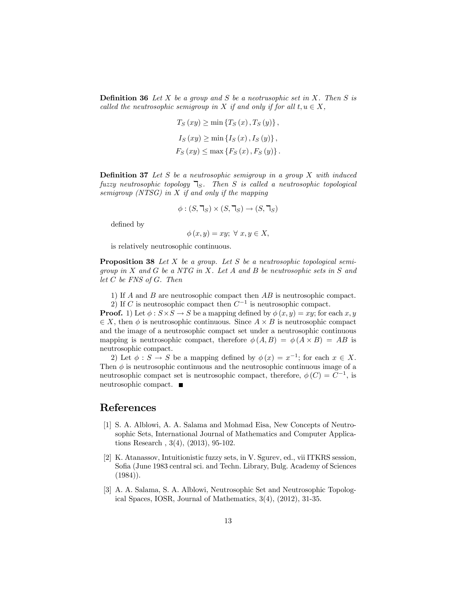**Definition 36** Let  $X$  be a group and  $S$  be a neotrusophic set in  $X$ . Then  $S$  is called the neutrosophic semigroup in X if and only if for all  $t, u \in X$ ,

$$
T_S(xy) \ge \min \{ T_S(x), T_S(y) \},
$$
  
\n
$$
I_S(xy) \ge \min \{ I_S(x), I_S(y) \},
$$
  
\n
$$
F_S(xy) \le \max \{ F_S(x), F_S(y) \}.
$$

**Definition 37** Let S be a neutrosophic semigroup in a group X with induced fuzzy neutrosophic topology  $\mathbb{I}_S$ . Then S is called a neutrosophic topological semigroup (NTSG) in  $X$  if and only if the mapping

$$
\phi : (S, \mathbb{k}) \times (S, \mathbb{k}) \to (S, \mathbb{k})
$$

defined by

$$
\phi(x, y) = xy; \ \forall \ x, y \in X,
$$

is relatively neutrosophic continuous.

**Proposition 38** Let  $X$  be a group. Let  $S$  be a neutrosophic topological semigroup in  $X$  and  $G$  be a NTG in  $X$ . Let  $A$  and  $B$  be neutrosophic sets in  $S$  and let  $C$  be FNS of  $G$ . Then

1) If  $A$  and  $B$  are neutrosophic compact then  $AB$  is neutrosophic compact.

2) If C is neutrosophic compact then  $C^{-1}$  is neutrosophic compact.

**Proof.** 1) Let  $\phi$  :  $S \times S \to S$  be a mapping defined by  $\phi(x, y) = xy$ ; for each x, y  $\in X$ , then  $\phi$  is neutrosophic continuous. Since  $A \times B$  is neutrosophic compact and the image of a neutrosophic compact set under a neutrosophic continuous mapping is neutrosophic compact, therefore  $\phi(A, B) = \phi(A \times B) = AB$  is neutrosophic compact.

2) Let  $\phi : S \to S$  be a mapping defined by  $\phi(x) = x^{-1}$ ; for each  $x \in X$ . Then  $\phi$  is neutrosophic continuous and the neutrosophic continuous image of a neutrosophic compact set is neutrosophic compact, therefore,  $\phi(C) = C^{-1}$ , is neutrosophic compact.

## References

- [1] S. A. Alblowi, A. A. Salama and Mohmad Eisa, New Concepts of Neutro sophic Sets, International Journal of Mathematics and Computer Applica tions Research , 3(4), (2013), 95-102.
- [2] K. Atanassov, Intuitionistic fuzzy sets, in V. Sgurev, ed., vii ITKRS session, Sofia (June 1983 central sci. and Techn. Library, Bulg. Academy of Sciences (1984)).
- [3] A. A. Salama, S. A. Alblowi, Neutrosophic Set and Neutrosophic Topological Spaces, IOSR, Journal of Mathematics, 3(4), (2012), 31-35.